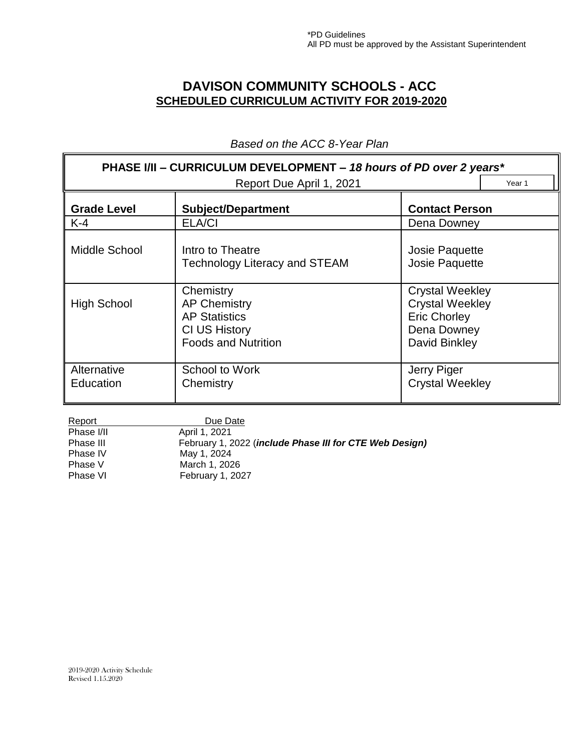## **DAVISON COMMUNITY SCHOOLS - ACC SCHEDULED CURRICULUM ACTIVITY FOR 2019-2020**

| PHASE I/II - CURRICULUM DEVELOPMENT - 18 hours of PD over 2 years*<br>Year 1 |                                                                                                                |                                                                                                         |  |
|------------------------------------------------------------------------------|----------------------------------------------------------------------------------------------------------------|---------------------------------------------------------------------------------------------------------|--|
|                                                                              | Report Due April 1, 2021                                                                                       |                                                                                                         |  |
| <b>Grade Level</b>                                                           | <b>Subject/Department</b>                                                                                      | <b>Contact Person</b>                                                                                   |  |
| $K-4$                                                                        | ELA/CI                                                                                                         | Dena Downey                                                                                             |  |
| Middle School                                                                | Intro to Theatre<br><b>Technology Literacy and STEAM</b>                                                       | Josie Paquette<br>Josie Paquette                                                                        |  |
| <b>High School</b>                                                           | Chemistry<br><b>AP Chemistry</b><br><b>AP Statistics</b><br><b>CI US History</b><br><b>Foods and Nutrition</b> | <b>Crystal Weekley</b><br><b>Crystal Weekley</b><br><b>Eric Chorley</b><br>Dena Downey<br>David Binkley |  |
| Alternative<br>Education                                                     | School to Work<br>Chemistry                                                                                    | Jerry Piger<br><b>Crystal Weekley</b>                                                                   |  |

*Based on the ACC 8-Year Plan*

| Report     | Due Date                                                |
|------------|---------------------------------------------------------|
| Phase I/II | April 1, 2021                                           |
| Phase III  | February 1, 2022 (include Phase III for CTE Web Design) |
| Phase IV   | May 1, 2024                                             |
| Phase V    | March 1, 2026                                           |
| Phase VI   | February 1, 2027                                        |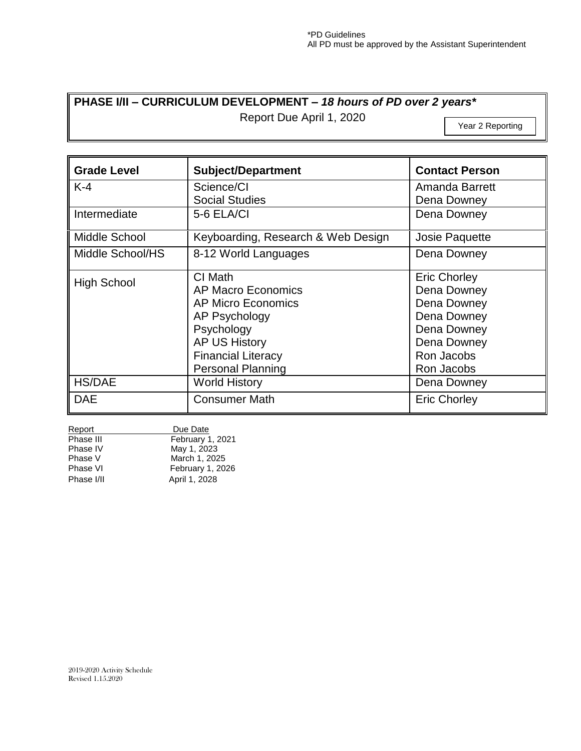## **PHASE I/II – CURRICULUM DEVELOPMENT –** *18 hours of PD over 2 years\**

Report Due April 1, 2020

Year 2 Reporting

| <b>Grade Level</b> | <b>Subject/Department</b>          | <b>Contact Person</b> |
|--------------------|------------------------------------|-----------------------|
| $K-4$              | Science/CI                         | Amanda Barrett        |
|                    | <b>Social Studies</b>              | Dena Downey           |
| Intermediate       | 5-6 ELA/CI                         | Dena Downey           |
| Middle School      | Keyboarding, Research & Web Design | Josie Paquette        |
| Middle School/HS   | 8-12 World Languages               | Dena Downey           |
| <b>High School</b> | CI Math                            | <b>Eric Chorley</b>   |
|                    | AP Macro Economics                 | Dena Downey           |
|                    | AP Micro Economics                 | Dena Downey           |
|                    | AP Psychology                      | Dena Downey           |
|                    | Psychology                         | Dena Downey           |
|                    | <b>AP US History</b>               | Dena Downey           |
|                    | <b>Financial Literacy</b>          | Ron Jacobs            |
|                    | <b>Personal Planning</b>           | Ron Jacobs            |
| <b>HS/DAE</b>      | <b>World History</b>               | Dena Downey           |
| <b>DAE</b>         | <b>Consumer Math</b>               | <b>Eric Chorley</b>   |

| Report     | Due Date         |
|------------|------------------|
| Phase III  | February 1, 2021 |
| Phase IV   | May 1, 2023      |
| Phase V    | March 1, 2025    |
| Phase VI   | February 1, 2026 |
| Phase I/II | April 1, 2028    |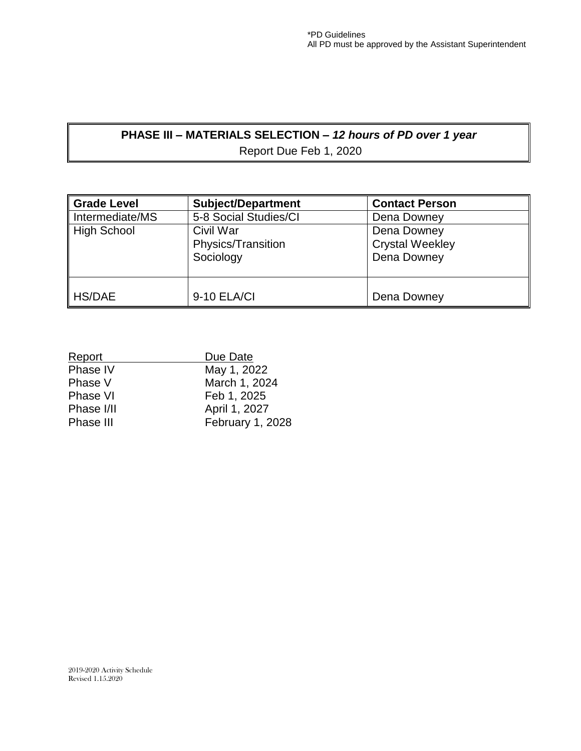## **PHASE III – MATERIALS SELECTION –** *12 hours of PD over 1 year* Report Due Feb 1, 2020

**Grade Level Subject/Department Contact Person** Intermediate/MS | 5-8 Social Studies/CI | Dena Downey High School Civil War Physics/Transition Sociology Dena Downey Crystal Weekley Dena Downey HS/DAE 9-10 ELA/CI Dena Downey

| Report     | Due Date         |
|------------|------------------|
| Phase IV   | May 1, 2022      |
| Phase V    | March 1, 2024    |
| Phase VI   | Feb 1, 2025      |
| Phase I/II | April 1, 2027    |
| Phase III  | February 1, 2028 |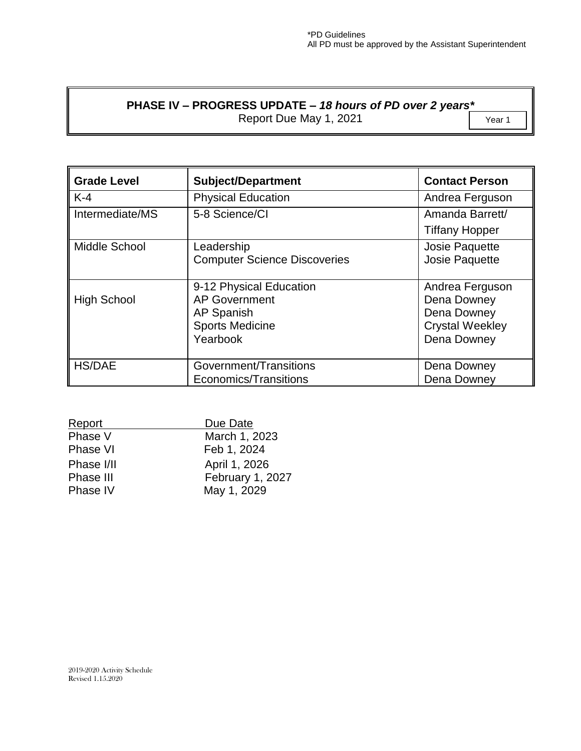## **PHASE IV – PROGRESS UPDATE –** *18 hours of PD over 2 years\**

Report Due May 1, 2021 **The Contract Contract Contract Press** 

| <b>Grade Level</b> | <b>Subject/Department</b>                                                                                  | <b>Contact Person</b>                                                                  |
|--------------------|------------------------------------------------------------------------------------------------------------|----------------------------------------------------------------------------------------|
| $K-4$              | <b>Physical Education</b>                                                                                  | Andrea Ferguson                                                                        |
| Intermediate/MS    | 5-8 Science/CI                                                                                             | Amanda Barrett/                                                                        |
|                    |                                                                                                            | <b>Tiffany Hopper</b>                                                                  |
| Middle School      | Leadership<br><b>Computer Science Discoveries</b>                                                          | Josie Paquette<br>Josie Paquette                                                       |
| <b>High School</b> | 9-12 Physical Education<br><b>AP Government</b><br><b>AP Spanish</b><br><b>Sports Medicine</b><br>Yearbook | Andrea Ferguson<br>Dena Downey<br>Dena Downey<br><b>Crystal Weekley</b><br>Dena Downey |
| <b>HS/DAE</b>      | Government/Transitions<br>Economics/Transitions                                                            | Dena Downey<br>Dena Downey                                                             |

| Report     | Due Date         |
|------------|------------------|
| Phase V    | March 1, 2023    |
| Phase VI   | Feb 1, 2024      |
| Phase I/II | April 1, 2026    |
| Phase III  | February 1, 2027 |
| Phase IV   | May 1, 2029      |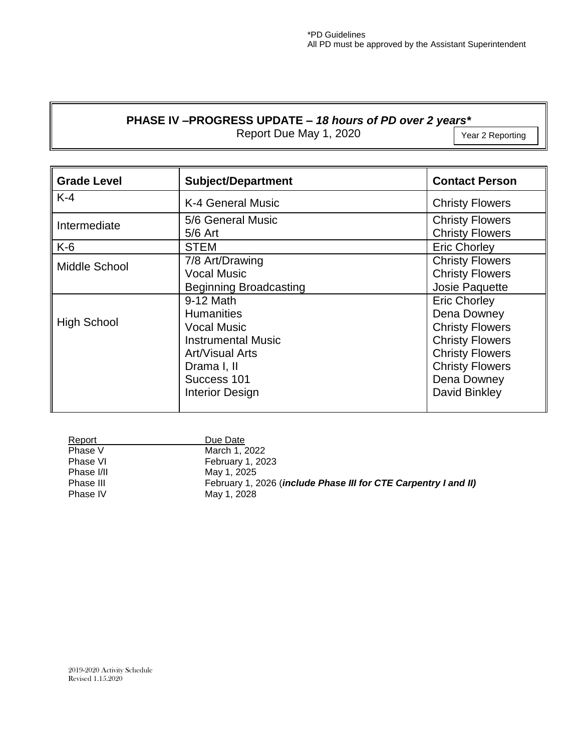### **PHASE IV –PROGRESS UPDATE –** *18 hours of PD over 2 years\**

Report Due May 1, 2020

| <b>Grade Level</b> | <b>Subject/Department</b>                                                                                                                                    | <b>Contact Person</b>                                                                                                                                                      |
|--------------------|--------------------------------------------------------------------------------------------------------------------------------------------------------------|----------------------------------------------------------------------------------------------------------------------------------------------------------------------------|
| $K-4$              | K-4 General Music                                                                                                                                            | <b>Christy Flowers</b>                                                                                                                                                     |
| Intermediate       | 5/6 General Music<br>$5/6$ Art                                                                                                                               | <b>Christy Flowers</b><br><b>Christy Flowers</b>                                                                                                                           |
| $K-6$              | <b>STEM</b>                                                                                                                                                  | <b>Eric Chorley</b>                                                                                                                                                        |
| Middle School      | 7/8 Art/Drawing<br><b>Vocal Music</b><br><b>Beginning Broadcasting</b>                                                                                       | <b>Christy Flowers</b><br><b>Christy Flowers</b><br>Josie Paquette                                                                                                         |
| <b>High School</b> | 9-12 Math<br><b>Humanities</b><br><b>Vocal Music</b><br><b>Instrumental Music</b><br>Art/Visual Arts<br>Drama I, II<br>Success 101<br><b>Interior Design</b> | <b>Eric Chorley</b><br>Dena Downey<br><b>Christy Flowers</b><br><b>Christy Flowers</b><br><b>Christy Flowers</b><br><b>Christy Flowers</b><br>Dena Downey<br>David Binkley |

| Report     | Due Date                                                        |
|------------|-----------------------------------------------------------------|
| Phase V    | March 1, 2022                                                   |
| Phase VI   | <b>February 1, 2023</b>                                         |
| Phase I/II | May 1, 2025                                                     |
| Phase III  | February 1, 2026 (include Phase III for CTE Carpentry I and II) |
| Phase IV   | May 1, 2028                                                     |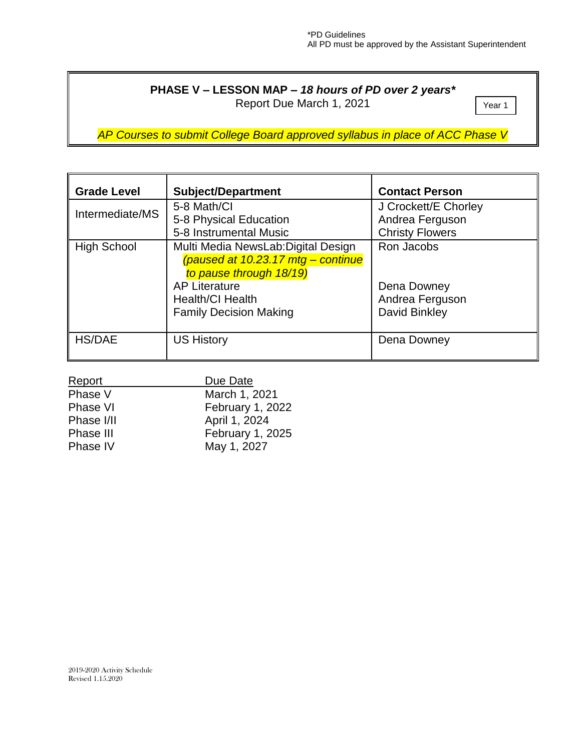## **PHASE V – LESSON MAP –** *18 hours of PD over 2 years\**

Report Due March 1, 2021

Year 1

*AP Courses to submit College Board approved syllabus in place of ACC Phase V*

| <b>Grade Level</b> | <b>Subject/Department</b>                                                                                                                                                                | <b>Contact Person</b>                                             |
|--------------------|------------------------------------------------------------------------------------------------------------------------------------------------------------------------------------------|-------------------------------------------------------------------|
| Intermediate/MS    | 5-8 Math/Cl<br>5-8 Physical Education<br>5-8 Instrumental Music                                                                                                                          | J Crockett/E Chorley<br>Andrea Ferguson<br><b>Christy Flowers</b> |
| <b>High School</b> | Multi Media NewsLab: Digital Design<br>(paused at 10.23.17 mtg - continue<br>to pause through 18/19)<br><b>AP Literature</b><br><b>Health/Cl Health</b><br><b>Family Decision Making</b> | Ron Jacobs<br>Dena Downey<br>Andrea Ferguson<br>David Binkley     |
| <b>HS/DAE</b>      | <b>US History</b>                                                                                                                                                                        | Dena Downey                                                       |

| Report     | Due Date         |
|------------|------------------|
| Phase V    | March 1, 2021    |
| Phase VI   | February 1, 2022 |
| Phase I/II | April 1, 2024    |
| Phase III  | February 1, 2025 |
| Phase IV   | May 1, 2027      |

 $\overline{a}$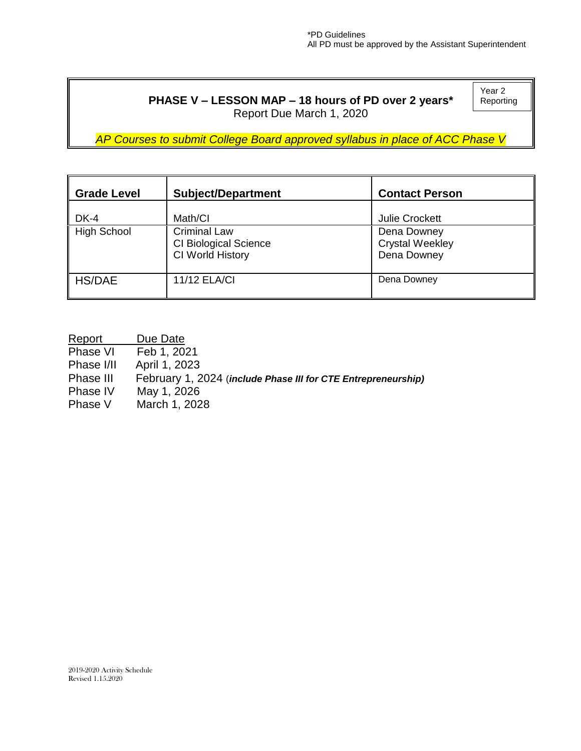### **PHASE V – LESSON MAP – 18 hours of PD over 2 years\*** Report Due March 1, 2020

Year 2 Reporting

*AP Courses to submit College Board approved syllabus in place of ACC Phase V*

| <b>Grade Level</b> | <b>Subject/Department</b>                                               | <b>Contact Person</b>                                |
|--------------------|-------------------------------------------------------------------------|------------------------------------------------------|
| DK-4               | Math/CI                                                                 | <b>Julie Crockett</b>                                |
| <b>High School</b> | <b>Criminal Law</b><br><b>CI Biological Science</b><br>CI World History | Dena Downey<br><b>Crystal Weekley</b><br>Dena Downey |
| <b>HS/DAE</b>      | <b>11/12 ELA/CI</b>                                                     | Dena Downey                                          |

Report Due Date<br>Phase VI Feb 1, 202  $\overline{Feb}$  1, 2021 Phase I/II April 1, 2023 Phase III February 1, 2024 (*include Phase III for CTE Entrepreneurship)* Phase IV May 1, 2026 Phase V March 1, 2028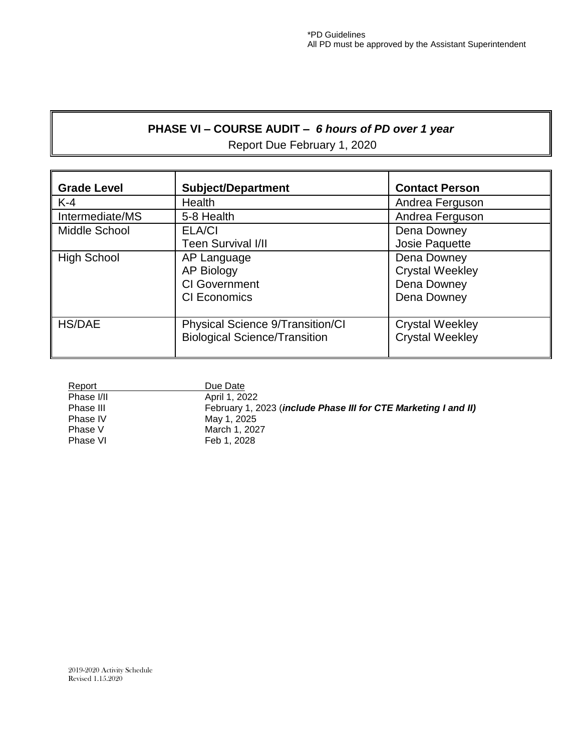## **PHASE VI – COURSE AUDIT –** *6 hours of PD over 1 year* Report Due February 1, 2020

| <b>Grade Level</b> | <b>Subject/Department</b>                                                       | <b>Contact Person</b>                                               |
|--------------------|---------------------------------------------------------------------------------|---------------------------------------------------------------------|
| $K-4$              | Health                                                                          | Andrea Ferguson                                                     |
| Intermediate/MS    | 5-8 Health                                                                      | Andrea Ferguson                                                     |
| Middle School      | <b>ELA/CI</b><br>Teen Survival I/II                                             | Dena Downey<br>Josie Paquette                                       |
| <b>High School</b> | AP Language<br><b>AP Biology</b><br><b>CI</b> Government<br><b>CI Economics</b> | Dena Downey<br><b>Crystal Weekley</b><br>Dena Downey<br>Dena Downey |
| <b>HS/DAE</b>      | Physical Science 9/Transition/CI<br><b>Biological Science/Transition</b>        | <b>Crystal Weekley</b><br><b>Crystal Weekley</b>                    |

| Report     | Due Date                                                        |
|------------|-----------------------------------------------------------------|
| Phase I/II | April 1, 2022                                                   |
| Phase III  | February 1, 2023 (include Phase III for CTE Marketing I and II) |
| Phase IV   | May 1, 2025                                                     |
| Phase V    | March 1, 2027                                                   |
| Phase VI   | Feb 1, 2028                                                     |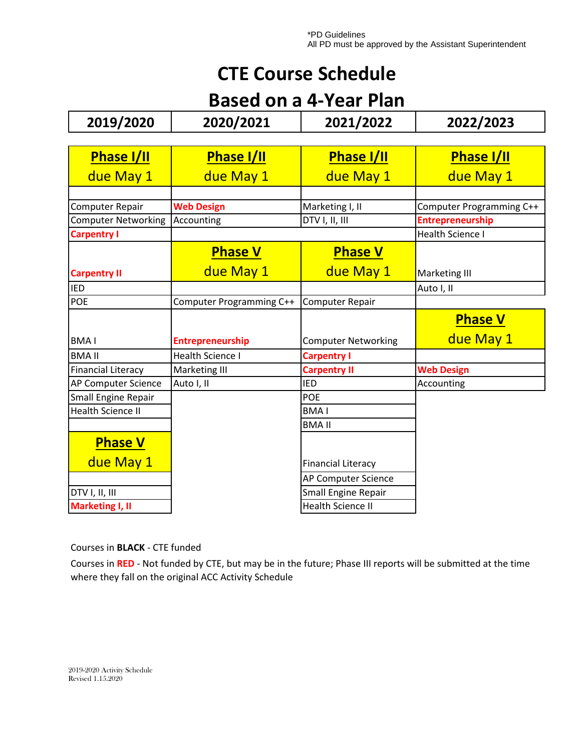# **CTE Course Schedule**

# **Based on a 4-Year Plan**

| 2019/2020                  | 2020/2021                | 2021/2022                  | 2022/2023                |
|----------------------------|--------------------------|----------------------------|--------------------------|
|                            |                          |                            |                          |
| <b>Phase I/II</b>          | <b>Phase I/II</b>        | <b>Phase I/II</b>          | <b>Phase I/II</b>        |
| due May 1                  | due May 1                | due May 1                  | due May 1                |
|                            |                          |                            |                          |
| Computer Repair            | <b>Web Design</b>        | Marketing I, II            | Computer Programming C++ |
| <b>Computer Networking</b> | Accounting               | DTV I, II, III             | <b>Entrepreneurship</b>  |
| <b>Carpentry I</b>         |                          |                            | Health Science I         |
|                            | <b>Phase V</b>           | <b>Phase V</b>             |                          |
| <b>Carpentry II</b>        | due May 1                | due May 1                  | Marketing III            |
| <b>IED</b>                 |                          |                            | Auto I, II               |
| POE                        | Computer Programming C++ | <b>Computer Repair</b>     |                          |
|                            |                          |                            | <b>Phase V</b>           |
| <b>BMAI</b>                | <b>Entrepreneurship</b>  | <b>Computer Networking</b> | due May 1                |
| <b>BMA II</b>              | <b>Health Science I</b>  | <b>Carpentry I</b>         |                          |
| <b>Financial Literacy</b>  | Marketing III            | <b>Carpentry II</b>        | <b>Web Design</b>        |
| AP Computer Science        | Auto I, II               | <b>IED</b>                 | Accounting               |
| <b>Small Engine Repair</b> |                          | <b>POE</b>                 |                          |
| <b>Health Science II</b>   |                          | <b>BMAI</b>                |                          |
|                            |                          | <b>BMA II</b>              |                          |
| <b>Phase V</b>             |                          |                            |                          |
| due May 1                  |                          | <b>Financial Literacy</b>  |                          |
|                            |                          | AP Computer Science        |                          |
|                            |                          |                            |                          |
| DTV I, II, III             |                          | <b>Small Engine Repair</b> |                          |

Courses in **BLACK** - CTE funded

Courses in **RED** - Not funded by CTE, but may be in the future; Phase III reports will be submitted at the time where they fall on the original ACC Activity Schedule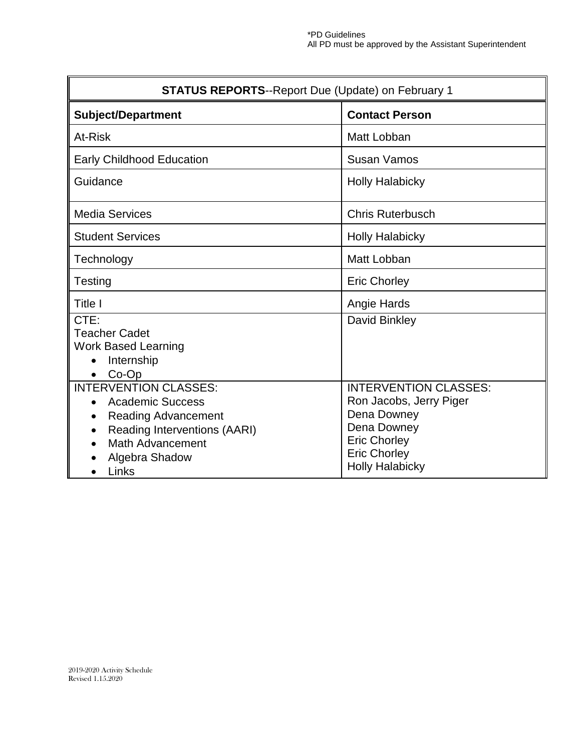| <b>STATUS REPORTS--Report Due (Update) on February 1</b>                                                                                                                                 |                                                                                                                                                               |  |  |
|------------------------------------------------------------------------------------------------------------------------------------------------------------------------------------------|---------------------------------------------------------------------------------------------------------------------------------------------------------------|--|--|
| <b>Subject/Department</b>                                                                                                                                                                | <b>Contact Person</b>                                                                                                                                         |  |  |
| At-Risk                                                                                                                                                                                  | Matt Lobban                                                                                                                                                   |  |  |
| <b>Early Childhood Education</b>                                                                                                                                                         | Susan Vamos                                                                                                                                                   |  |  |
| Guidance                                                                                                                                                                                 | <b>Holly Halabicky</b>                                                                                                                                        |  |  |
| <b>Media Services</b>                                                                                                                                                                    | <b>Chris Ruterbusch</b>                                                                                                                                       |  |  |
| <b>Student Services</b>                                                                                                                                                                  | <b>Holly Halabicky</b>                                                                                                                                        |  |  |
| Technology                                                                                                                                                                               | Matt Lobban                                                                                                                                                   |  |  |
| Testing                                                                                                                                                                                  | <b>Eric Chorley</b>                                                                                                                                           |  |  |
| Title I                                                                                                                                                                                  | Angie Hards                                                                                                                                                   |  |  |
| CTE:<br><b>Teacher Cadet</b><br><b>Work Based Learning</b><br>Internship<br>Co-Op<br>$\bullet$                                                                                           | David Binkley                                                                                                                                                 |  |  |
| <b>INTERVENTION CLASSES:</b><br><b>Academic Success</b><br><b>Reading Advancement</b><br>$\bullet$<br>Reading Interventions (AARI)<br><b>Math Advancement</b><br>Algebra Shadow<br>Links | <b>INTERVENTION CLASSES:</b><br>Ron Jacobs, Jerry Piger<br>Dena Downey<br>Dena Downey<br><b>Eric Chorley</b><br><b>Eric Chorley</b><br><b>Holly Halabicky</b> |  |  |